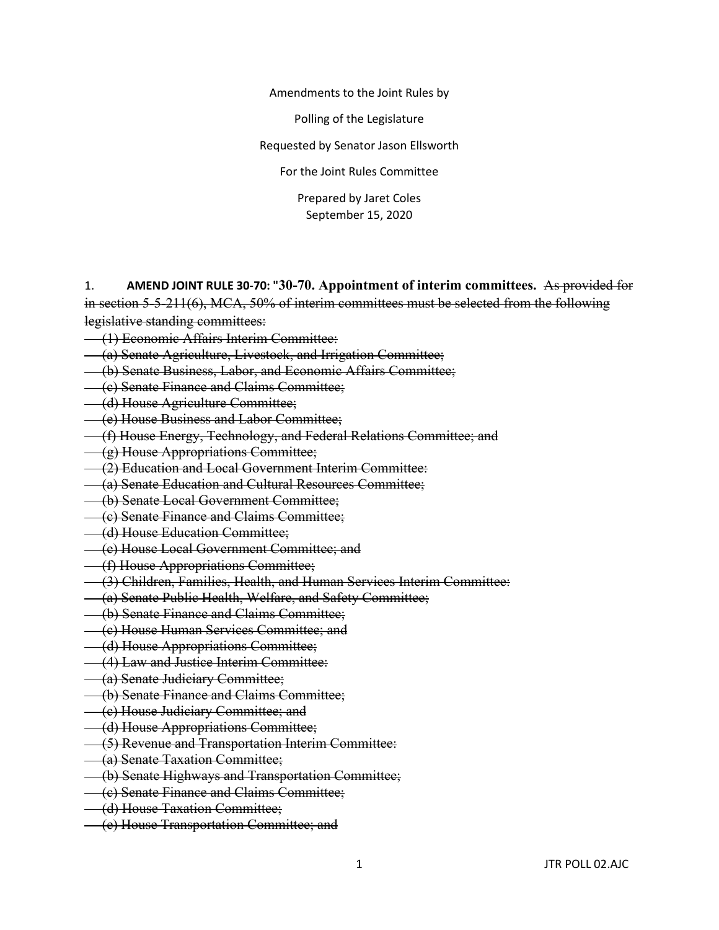Amendments to the Joint Rules by

Polling of the Legislature

Requested by Senator Jason Ellsworth

For the Joint Rules Committee

Prepared by Jaret Coles September 15, 2020

1. **AMEND JOINT RULE 30-70: "30-70. Appointment of interim committees.** As provided for in section 5-5-211(6), MCA, 50% of interim committees must be selected from the following legislative standing committees:

- (1) Economic Affairs Interim Committee:
- (a) Senate Agriculture, Livestock, and Irrigation Committee;
- (b) Senate Business, Labor, and Economic Affairs Committee;
- (c) Senate Finance and Claims Committee;
- (d) House Agriculture Committee;
- (e) House Business and Labor Committee;
- (f) House Energy, Technology, and Federal Relations Committee; and
- (g) House Appropriations Committee;
- (2) Education and Local Government Interim Committee:
- (a) Senate Education and Cultural Resources Committee;
- (b) Senate Local Government Committee;
- (c) Senate Finance and Claims Committee;
- (d) House Education Committee;
- (e) House Local Government Committee; and
- (f) House Appropriations Committee;
- (3) Children, Families, Health, and Human Services Interim Committee:
- (a) Senate Public Health, Welfare, and Safety Committee;
- (b) Senate Finance and Claims Committee;
- (c) House Human Services Committee; and
- (d) House Appropriations Committee;
- (4) Law and Justice Interim Committee:
- (a) Senate Judiciary Committee;
- (b) Senate Finance and Claims Committee;
- (c) House Judiciary Committee; and
- (d) House Appropriations Committee;
- (5) Revenue and Transportation Interim Committee:
- (a) Senate Taxation Committee;
- (b) Senate Highways and Transportation Committee;
- (c) Senate Finance and Claims Committee;
- (d) House Taxation Committee;
- (e) House Transportation Committee; and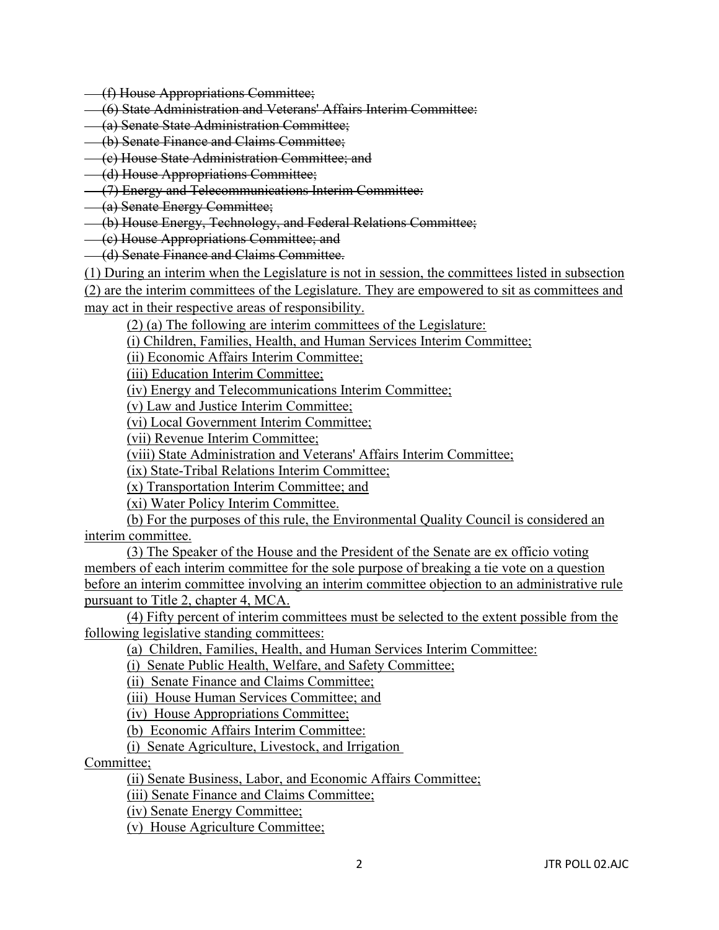- (f) House Appropriations Committee;
- (6) State Administration and Veterans' Affairs Interim Committee:
- (a) Senate State Administration Committee;
- (b) Senate Finance and Claims Committee;
- (c) House State Administration Committee; and
- (d) House Appropriations Committee;
- (7) Energy and Telecommunications Interim Committee:
- (a) Senate Energy Committee;
- (b) House Energy, Technology, and Federal Relations Committee;
- (c) House Appropriations Committee; and
- (d) Senate Finance and Claims Committee.
- (1) During an interim when the Legislature is not in session, the committees listed in subsection

(2) are the interim committees of the Legislature. They are empowered to sit as committees and may act in their respective areas of responsibility.

(2) (a) The following are interim committees of the Legislature:

(i) Children, Families, Health, and Human Services Interim Committee;

(ii) Economic Affairs Interim Committee;

(iii) Education Interim Committee;

(iv) Energy and Telecommunications Interim Committee;

(v) Law and Justice Interim Committee;

(vi) Local Government Interim Committee;

(vii) Revenue Interim Committee;

(viii) State Administration and Veterans' Affairs Interim Committee;

(ix) State-Tribal Relations Interim Committee;

(x) Transportation Interim Committee; and

(xi) Water Policy Interim Committee.

(b) For the purposes of this rule, the Environmental Quality Council is considered an interim committee.

(3) The Speaker of the House and the President of the Senate are ex officio voting members of each interim committee for the sole purpose of breaking a tie vote on a question before an interim committee involving an interim committee objection to an administrative rule pursuant to Title 2, chapter 4, MCA.

(4) Fifty percent of interim committees must be selected to the extent possible from the following legislative standing committees:

(a) Children, Families, Health, and Human Services Interim Committee:

(i) Senate Public Health, Welfare, and Safety Committee;

(ii) Senate Finance and Claims Committee;

(iii) House Human Services Committee; and

(iv) House Appropriations Committee;

(b) Economic Affairs Interim Committee:

(i) Senate Agriculture, Livestock, and Irrigation

Committee;

(ii) Senate Business, Labor, and Economic Affairs Committee;

(iii) Senate Finance and Claims Committee;

(iv) Senate Energy Committee;

(v) House Agriculture Committee;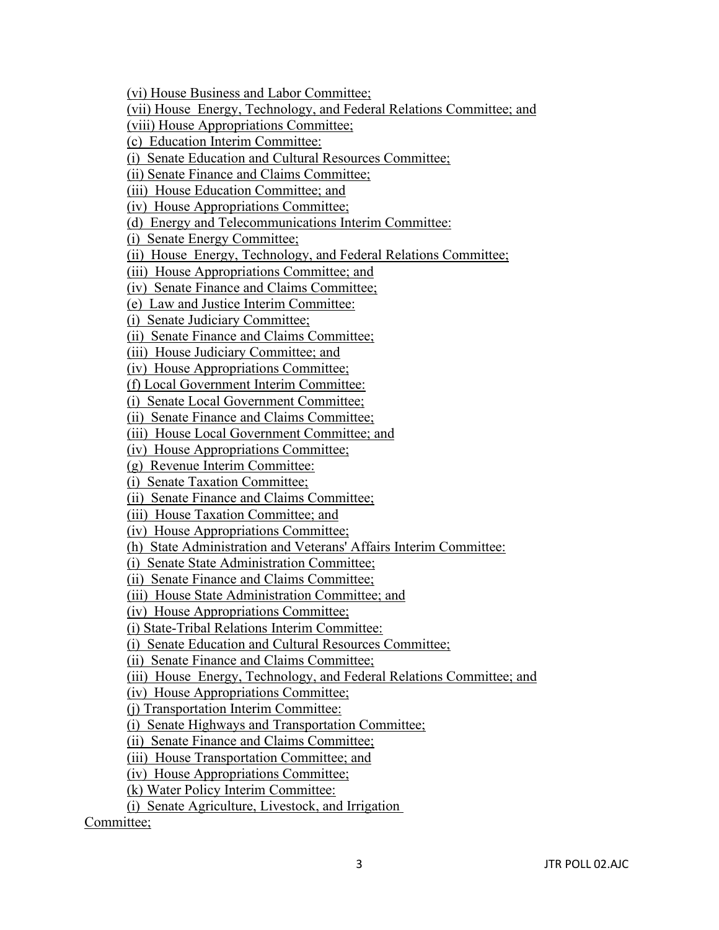(vi) House Business and Labor Committee;

(vii) House Energy, Technology, and Federal Relations Committee; and

(viii) House Appropriations Committee;

(c) Education Interim Committee:

(i) Senate Education and Cultural Resources Committee;

(ii) Senate Finance and Claims Committee;

(iii) House Education Committee; and

(iv) House Appropriations Committee;

(d) Energy and Telecommunications Interim Committee:

(i) Senate Energy Committee;

(ii) House Energy, Technology, and Federal Relations Committee;

(iii) House Appropriations Committee; and

(iv) Senate Finance and Claims Committee;

(e) Law and Justice Interim Committee:

(i) Senate Judiciary Committee;

(ii) Senate Finance and Claims Committee;

(iii) House Judiciary Committee; and

(iv) House Appropriations Committee;

(f) Local Government Interim Committee:

(i) Senate Local Government Committee;

(ii) Senate Finance and Claims Committee;

(iii) House Local Government Committee; and

(iv) House Appropriations Committee;

(g) Revenue Interim Committee:

(i) Senate Taxation Committee;

(ii) Senate Finance and Claims Committee;

(iii) House Taxation Committee; and

(iv) House Appropriations Committee;

(h) State Administration and Veterans' Affairs Interim Committee:

(i) Senate State Administration Committee;

(ii) Senate Finance and Claims Committee;

(iii) House State Administration Committee; and

(iv) House Appropriations Committee;

(i) State-Tribal Relations Interim Committee:

(i) Senate Education and Cultural Resources Committee;

(ii) Senate Finance and Claims Committee;

(iii) House Energy, Technology, and Federal Relations Committee; and

(iv) House Appropriations Committee;

(j) Transportation Interim Committee:

(i) Senate Highways and Transportation Committee;

(ii) Senate Finance and Claims Committee;

(iii) House Transportation Committee; and

(iv) House Appropriations Committee;

(k) Water Policy Interim Committee:

(i) Senate Agriculture, Livestock, and Irrigation

Committee;